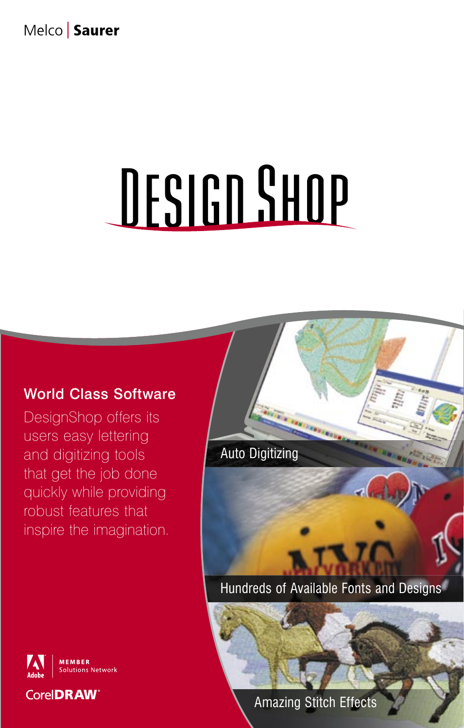# Melco | Saurer

# DESIGN SHOP

### World Class Software

DesignShop offers its DesignShop offers its users easy lettering users easy lettering and digitizing tools and digitizing tools that get the job done that get the job done quickly while providing quickly while providing robust features that robust features that inspire the imagination. inspire the imagination.



**MEMBER** Solutions Network **CorelDRAW®** 

Amazing Stitch Effects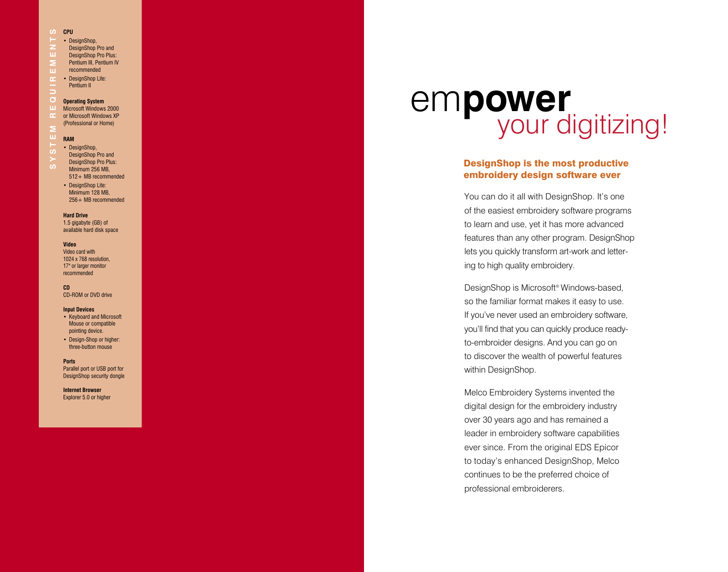#### **CPU**

#### • DesignShop,

- DesignShop Pro and
- ш. DesignShop Pro Plus:
- $\geq$ Pentium III, Pentium IV
- recommended
- **u** • DesignShop Lite:
- $\alpha$ Pentium II
- 

#### $\sigma$ **Operating System**

- **S Y S T E M R E Q U I R E M E N T SCPU** ш Microsoft Windows 2000  $\alpha$ or Microsoft Windows XP
- (Professional or Home)

#### ш **RAM**

- DesignShop,
- DesignShop Pro and
- DesignShop Pro Plus:
- Minimum 256 MB,
- 512+ MB recommended • DesignShop Lite:
- Minimum 128 MB, 256+ MB recommended

**Hard Drive**

1.5 gigabyte (GB) of available hard disk space

#### **Video**

Video card with 1024 x 768 resolution, 17" or larger monitor recommended

#### **CD**

CD-ROM or DVD drive

#### **Input Devices**

- Keyboard and Microsoft Mouse or compatible pointing device.
- Design-Shop or higher: three-button mouse

#### **Ports**

Parallel port or USB port for DesignShop security dongle

**Internet Browser** Explorer 5.0 or higher

# your digitizing! em**power**

#### DesignShop is the most productive embroidery design software ever

You can do it all with DesignShop. It's one of the easiest embroidery software programs to learn and use, yet it has more advanced features than any other program. DesignShop lets you quickly transform art -work and letter ing to high quality embroidery.

DesignShop is Microsoft ® Windows-based, so the familiar format makes it easy to use. If you've never used an embroidery software, you'll find that you can quickly produce readyto-embroider designs. And you can go on to discover the wealth of powerful features within DesignShop.

Melco Embroidery Systems invented the digital design for the embroidery industry over 30 years ago and has remained a leader in embroidery software capabilities ever since. From the original EDS Epicor to today's enhanced DesignShop , Melco continues to be the preferred choice of professional embroiderers .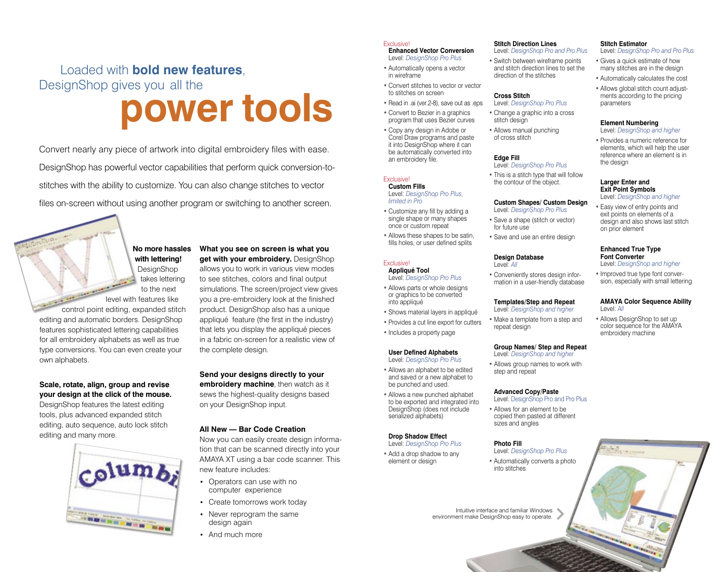# DesignShop gives you all the **power tools** Loaded with **bold new features**,

Convert nearly any piece of artwork into digital embroidery files with ease. DesignShop has powerful vector capabilities that perform quick conversion-tostitches with the ability to customize. You can also change stitches to vector files on-screen without using another program or switching to another screen.

> **No more hassles with lettering!** DesignShop takes lettering

to the next level with features like control point editing, expanded stitch editing and automatic borders. DesignShop features sophisticated lettering capabilities for all embroidery alphabets as well as true type conversions. You can even create your own alphabets.

#### **Scale, rotate, align, group and revise your design at the click of the mouse.**

DesignShop features the latest editing tools, plus advanced expanded stitch editing, auto sequence, auto lock stitch editing and many more.



**What you see on screen is what you get with your embroidery.** DesignShop allows you to work in various view modes to see stitches, colors and final output simulations. The screen/project view gives you a pre-embroidery look at the finished product. DesignShop also has a unique appliqué feature (the first in the industry) that lets you display the appliqué pieces in a fabric on-screen for a realistic view of the complete design.

**Send your designs directly to your embroidery machine**, then watch as it sews the highest-quality designs based on your DesignShop input.

#### **All New — Bar Code Creation**

Now you can easily create design information that can be scanned directly into your AMAYA XT using a bar code scanner. This new feature includes:

- Operators can use with no computer experience
- Create tomorrows work today
- Never reprogram the same design again
- And much more

#### Exclusive!

**Enhanced Vector Conversion** Level: *DesignShop Pro Plus*

- Automatically opens a vector in wireframe
- Convert stitches to vector or vector to stitches on screen
- Read in .ai (ver.2-8), save out as .eps
- Convert to Bezier in a graphics
- program that uses Bezier curves • Copy any design in Adobe or Corel Draw programs and paste it into DesignShop where it can be automatically converted into

#### Exclusive!

an embroidery file.

**Custom Fills** Level: *DesignShop Pro Plus, limited in Pro*

- Customize any fill by adding a single shape or many shapes once or custom repeat
- Allows these shapes to be satin, fills holes, or user defined splits

#### Exclusive! **Appliqué Tool**

- Level: *DesignShop Pro Plus* • Allows parts or whole designs or graphics to be converted into appliqué
- Shows material layers in appliqué
- Provides a cut line export for cutters
- Includes a property page

### **User Defined Alphabets**

Level: *DesignShop Pro Plus*

- Allows an alphabet to be edited and saved or a new alphabet to be punched and used. • Allows a new punched alphabet to be exported and integrated into
- DesignShop (does not include serialized alphabets)

#### **Drop Shadow Effect**  Level: *DesignShop Pro Plus*

• Add a drop shadow to any element or design

#### **Stitch Direction Lines**

Level: *DesignShop Pro and Pro Plus* • Switch between wireframe points and stitch direction lines to set the direction of the stitches

#### **Cross Stitch**

- Level: *DesignShop Pro Plus* • Change a graphic into a cross stitch design
- Allows manual punching of cross stitch

#### **Edge Fill**

Level: *DesignShop Pro Plus* • This is a stitch type that will follow the contour of the object.

### **Custom Shapes/ Custom Design**

- Level: *DesignShop Pro Plus* • Save a shape (stitch or vector) for future use
- Save and use an entire design

#### **Design Database** Level: *All*

- Conveniently stores design infor mation in a user-friendly database
- **Templates/Step and Repeat**
- Level: *DesignShop and higher*
- Make a template from a step and repeat design

#### **Group Names/ Step and Repeat**

Level: *DesignShop and higher*

step and repeat

#### **Advanced Copy/Paste**

- 
- copied then pasted at different sizes and angles

#### **Photo Fill**

Level: *DesignShop Pro Plus*

• Automatically converts a photo into stitches

Intuitive interface and familiar Windows environment make DesignShop easy to operate.

#### **Stitch Estimator**

- Level: *DesignShop Pro and Pro Plus*
- Gives a quick estimate of how many stitches are in the design
- Automatically calculates the cost
- Allows global stitch count adjust ments according to the pricing parameters

#### **Element Numbering**

- Level: *DesignShop and higher*
- Provides a numeric reference for elements, which will help the user reference where an element is in the design

#### **Larger Enter and Exit Point Symbols**

Level: *DesignShop and higher*

• Easy view of entry points and exit points on elements of a design and also shows last stitch on prior element

#### **Enhanced True Type Font Converter**

Level: *DesignShop and higher*

• Improved true type font conver sion, especially with small lettering

#### **AMAYA Color Sequence Ability**  Level: *All*

• Allows DesignShop to set up color sequence for the AMAYA embroidery machine

# • Allows group names to work with

Level: DesignShop Pro and Pro Plus

• Allows for an element to be



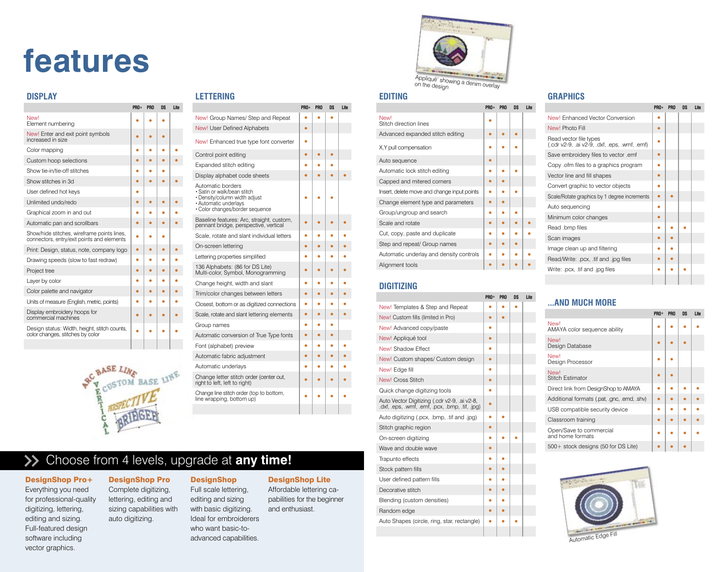# **features**

#### **DISPLAY**

|                                                                                           | PRO+ | PRO | DS | Lite |
|-------------------------------------------------------------------------------------------|------|-----|----|------|
| New!<br>Element numbering                                                                 |      |     |    |      |
| New! Enter and exit point symbols<br>increased in size                                    |      |     |    |      |
| Color mapping                                                                             |      |     |    |      |
| Custom hoop selections                                                                    |      |     |    |      |
| Show tie-in/tie-off stitches                                                              |      |     |    |      |
| Show stitches in 3d                                                                       |      |     |    |      |
| User defined hot keys                                                                     |      |     |    |      |
| Unlimited undo/redo                                                                       |      |     |    |      |
| Graphical zoom in and out                                                                 |      |     |    |      |
| Automatic pan and scrollbars                                                              |      |     |    |      |
| Show/hide stitches, wireframe points lines,<br>connectors, entry/exit points and elements |      |     |    |      |
| Print: Design, status, note, company logo                                                 |      |     |    |      |
| Drawing speeds (slow to fast redraw)                                                      |      |     |    |      |
| Project tree                                                                              |      |     |    |      |
| Layer by color                                                                            |      |     |    |      |
| Color palette and navigator                                                               |      |     |    |      |
| Units of measure (English, metric, points)                                                |      |     |    |      |
| Display embroidery hoops for<br>commercial machines                                       |      |     |    |      |
| Design status: Width, height, stitch counts,<br>color changes, stitches by color          |      |     |    |      |
|                                                                                           |      |     |    |      |



|  | TERIN |  |  |
|--|-------|--|--|
|  |       |  |  |

|                                                                                                                                               | <b>PRO+</b> | PR <sub>0</sub> | DS | Lite |
|-----------------------------------------------------------------------------------------------------------------------------------------------|-------------|-----------------|----|------|
| New! Group Names/ Step and Repeat                                                                                                             |             |                 |    |      |
| New! User Defined Alphabets                                                                                                                   |             |                 |    |      |
| New! Enhanced true type font converter                                                                                                        |             |                 |    |      |
| Control point editing                                                                                                                         | e           |                 |    |      |
| Expanded stitch editing                                                                                                                       |             |                 |    |      |
| Display alphabet code sheets                                                                                                                  |             |                 |    |      |
| Automatic borders<br>• Satin or walk/bean stitch<br>· Density/column width adjust<br>· Automatic underlays<br>· Color changes/border sequence |             |                 |    |      |
| Baseline features: Arc, straight, custom,<br>pennant bridge, perspective, vertical                                                            |             |                 |    |      |
| Scale, rotate and slant individual letters                                                                                                    |             |                 |    |      |
| On-screen lettering                                                                                                                           |             |                 |    |      |
| Lettering properties simplified                                                                                                               |             |                 |    |      |
| 136 Alphabets: (86 for DS Lite)<br>Multi-color, Symbol, Monogramming                                                                          |             |                 |    |      |
| Change height, width and slant                                                                                                                |             |                 |    |      |
| Trim/color changes between letters                                                                                                            |             |                 |    |      |
| Closest, bottom or as digitized connections                                                                                                   |             |                 |    |      |
| Scale, rotate and slant lettering elements                                                                                                    |             |                 |    |      |
| Group names                                                                                                                                   |             |                 |    |      |
| Automatic conversion of True Type fonts                                                                                                       |             |                 |    |      |
| Font (alphabet) preview                                                                                                                       |             |                 |    |      |
| Automatic fabric adjustment                                                                                                                   |             |                 |    |      |
| Automatic underlays                                                                                                                           |             |                 |    |      |
| Change letter stitch order (center out,<br>right to left, left to right)                                                                      |             |                 |    |      |
| Change line stitch order (top to bottom,<br>line wrapping, bottom up)                                                                         |             |                 |    |      |
|                                                                                                                                               |             |                 |    |      |

# Choose from 4 levels, upgrade at **any time!**

#### DesignShop Pro+

#### Everything you need for professional-quality digitizing, lettering, editing and sizing. Full-featured design software including vector graphics.

#### DesignShop Pro Complete digitizing,

lettering, editing and sizing capabilities with auto digitizing. Full scale lettering, editing and sizing with basic digitizing. Ideal for embroiderers who want basic-toadvanced capabilities.

**DesignShop** 

#### DesignShop Lite

Affordable lettering capabilities for the beginner and enthusiast.



#### **EDITING**

|                                             | PRO+ | PR <sub>0</sub> | DS | Lite |
|---------------------------------------------|------|-----------------|----|------|
| New!<br>Stitch direction lines              |      |                 |    |      |
| Advanced expanded stitch editing            |      |                 |    |      |
| X, Y pull compensation                      |      |                 |    |      |
| Auto sequence                               |      |                 |    |      |
| Automatic lock stitch editing               |      |                 |    |      |
| Capped and mitered corners                  |      |                 |    |      |
| Insert, delete move and change input points |      |                 |    |      |
| Change element type and parameters          |      |                 |    |      |
| Group/ungroup and search                    |      |                 |    |      |
| Scale and rotate                            |      |                 |    |      |
| Cut, copy, paste and duplicate              |      |                 |    |      |
| Step and repeat/ Group names                |      |                 |    |      |
| Automatic underlay and density controls     |      |                 |    |      |
| Alignment tools                             |      |                 |    |      |

#### **DIGITIZING**

|                                                                                                 | PRO+ | <b>PRO</b> | DS | Lite |
|-------------------------------------------------------------------------------------------------|------|------------|----|------|
| New! Templates & Step and Repeat                                                                |      |            |    |      |
| New! Custom fills (limited in Pro)                                                              |      |            |    |      |
| New! Advanced copy/paste                                                                        |      |            |    |      |
| New! Appliqué tool                                                                              |      |            |    |      |
| New! Shadow Effect                                                                              |      |            |    |      |
| New! Custom shapes/ Custom design                                                               |      |            |    |      |
| New! Edge fill                                                                                  |      |            |    |      |
| New! Cross Stitch                                                                               |      |            |    |      |
| Quick change digitizing tools                                                                   |      |            |    |      |
| Auto Vector Digitizing (.cdr v2-9, .ai v2-8,<br>.dxf, .eps, .wmf, .emf, .pcx, .bmp, .tif, .jpg) |      |            |    |      |
| Auto digitizing (.pcx, .bmp, .tif and .jpg)                                                     |      |            |    |      |
| Stitch graphic region                                                                           |      |            |    |      |
| On-screen digitizing                                                                            |      |            |    |      |
| Wave and double wave                                                                            |      |            |    |      |
| Trapunto effects                                                                                |      |            |    |      |
| Stock pattern fills                                                                             |      |            |    |      |
| User defined pattern fills                                                                      |      |            |    |      |
| Decorative stitch                                                                               |      |            |    |      |
| Blending (custom densities)                                                                     |      |            |    |      |
| Random edge                                                                                     |      |            |    |      |
| Auto Shapes (circle, ring, star, rectangle)                                                     |      |            |    |      |
|                                                                                                 |      |            |    |      |
|                                                                                                 |      |            |    |      |

#### **GRAPHICS**

|  |                                                                    | <b>PRO+</b> | PR <sub>0</sub> | DS | Lite |
|--|--------------------------------------------------------------------|-------------|-----------------|----|------|
|  | New! Enhanced Vector Conversion                                    |             |                 |    |      |
|  | New! Photo Fill                                                    |             |                 |    |      |
|  | Read vector file types<br>$(cdr v2-9, aiv2-9, dxf, eps, wmf, emf)$ |             |                 |    |      |
|  | Save embroidery files to vector .emf                               |             |                 |    |      |
|  | Copy .ofm files to a graphics program                              |             |                 |    |      |
|  | Vector line and fill shapes                                        |             |                 |    |      |
|  | Convert graphic to vector objects                                  |             |                 |    |      |
|  | Scale/Rotate graphics by 1 degree increments                       |             |                 |    |      |
|  | Auto sequencing                                                    |             |                 |    |      |
|  | Minimum color changes                                              |             |                 |    |      |
|  | Read .bmp files                                                    |             |                 |    |      |
|  | Scan images                                                        |             |                 |    |      |
|  | Image clean up and filtering                                       |             |                 |    |      |
|  | Read/Write: .pcx, .tif and .jpg files                              |             |                 |    |      |
|  | Write: .pcx, .tif and .jpg files                                   |             |                 |    |      |
|  |                                                                    |             |                 |    |      |

### **...AND MUCH MORE**

|                                             | PRO+ | <b>PRO</b> | DS | Lite |
|---------------------------------------------|------|------------|----|------|
| New!<br>AMAYA color sequence ability        |      |            |    |      |
| New!<br>Design Database                     |      |            |    |      |
| New!<br>Design Processor                    |      |            |    |      |
| <b>Newl</b><br><b>Stitch Estimator</b>      |      |            |    |      |
| Direct link from DesignShop to AMAYA        |      |            |    |      |
| Additional formats (.pat, .gnc, .emd, .shv) |      |            |    |      |
| USB compatible security device              |      |            |    |      |
| Classroom training                          |      |            |    |      |
| Open/Save to commercial<br>and home formats |      |            |    |      |
| $500+$ stock designs (50 for DS Lite)       |      |            |    |      |